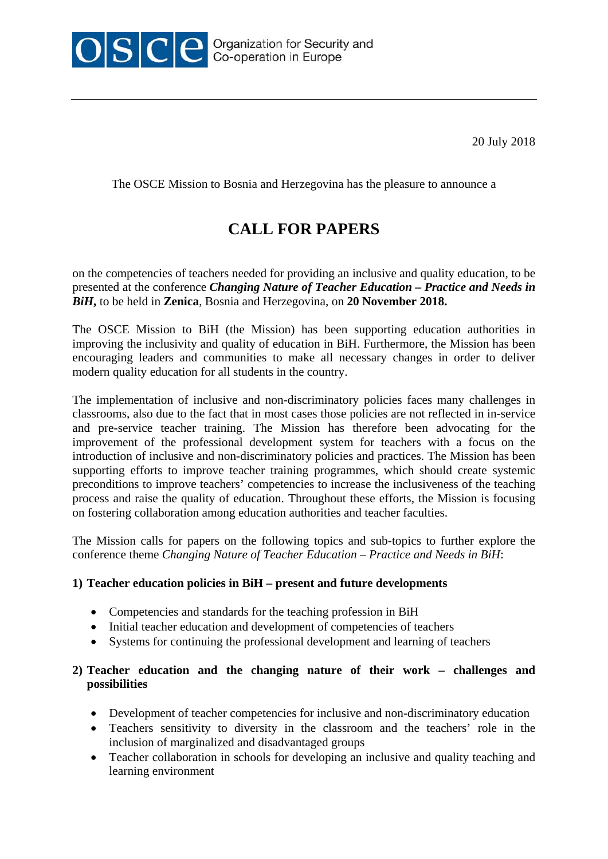

The OSCE Mission to Bosnia and Herzegovina has the pleasure to announce a

## **CALL FOR PAPERS**

on the competencies of teachers needed for providing an inclusive and quality education, to be presented at the conference *Changing Nature of Teacher Education – Practice and Needs in BiH***,** to be held in **Zenica**, Bosnia and Herzegovina, on **20 November 2018.**

The OSCE Mission to BiH (the Mission) has been supporting education authorities in improving the inclusivity and quality of education in BiH. Furthermore, the Mission has been encouraging leaders and communities to make all necessary changes in order to deliver modern quality education for all students in the country.

The implementation of inclusive and non-discriminatory policies faces many challenges in classrooms, also due to the fact that in most cases those policies are not reflected in in-service and pre-service teacher training. The Mission has therefore been advocating for the improvement of the professional development system for teachers with a focus on the introduction of inclusive and non-discriminatory policies and practices. The Mission has been supporting efforts to improve teacher training programmes, which should create systemic preconditions to improve teachers' competencies to increase the inclusiveness of the teaching process and raise the quality of education. Throughout these efforts, the Mission is focusing on fostering collaboration among education authorities and teacher faculties.

The Mission calls for papers on the following topics and sub-topics to further explore the conference theme *Changing Nature of Teacher Education – Practice and Needs in BiH*:

## **1) Teacher education policies in BiH – present and future developments**

- Competencies and standards for the teaching profession in BiH
- Initial teacher education and development of competencies of teachers
- Systems for continuing the professional development and learning of teachers

## **2) Teacher education and the changing nature of their work – challenges and possibilities**

- Development of teacher competencies for inclusive and non-discriminatory education
- Teachers sensitivity to diversity in the classroom and the teachers' role in the inclusion of marginalized and disadvantaged groups
- Teacher collaboration in schools for developing an inclusive and quality teaching and learning environment